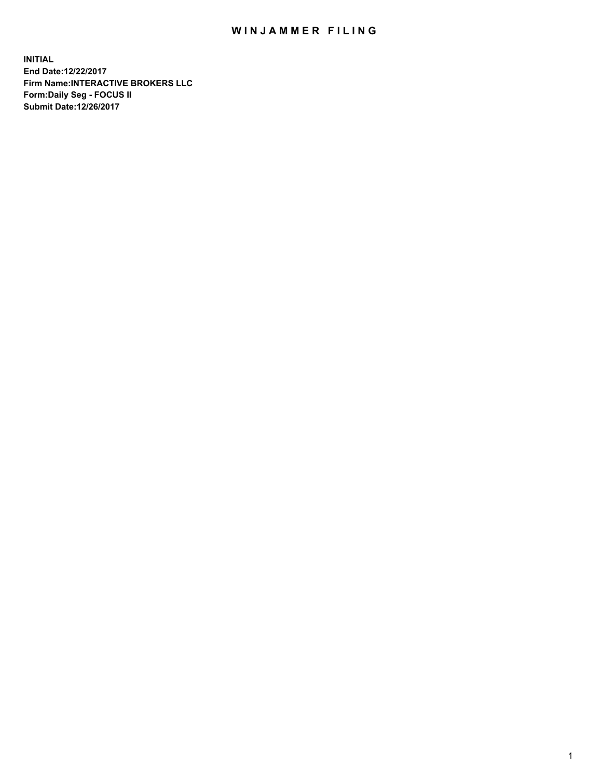## WIN JAMMER FILING

**INITIAL End Date:12/22/2017 Firm Name:INTERACTIVE BROKERS LLC Form:Daily Seg - FOCUS II Submit Date:12/26/2017**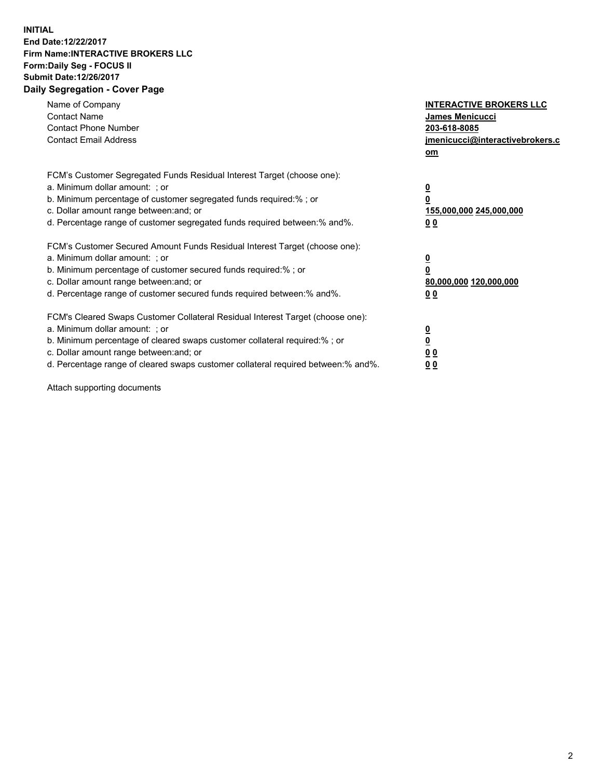## **INITIAL End Date:12/22/2017 Firm Name:INTERACTIVE BROKERS LLC Form:Daily Seg - FOCUS II Submit Date:12/26/2017 Daily Segregation - Cover Page**

| Name of Company<br><b>Contact Name</b><br><b>Contact Phone Number</b><br><b>Contact Email Address</b>                                                                                                                                                                                                                          | <b>INTERACTIVE BROKERS LLC</b><br><b>James Menicucci</b><br>203-618-8085<br>jmenicucci@interactivebrokers.c<br>om |
|--------------------------------------------------------------------------------------------------------------------------------------------------------------------------------------------------------------------------------------------------------------------------------------------------------------------------------|-------------------------------------------------------------------------------------------------------------------|
| FCM's Customer Segregated Funds Residual Interest Target (choose one):<br>a. Minimum dollar amount: ; or<br>b. Minimum percentage of customer segregated funds required:%; or<br>c. Dollar amount range between: and; or<br>d. Percentage range of customer segregated funds required between:% and%.                          | $\overline{\mathbf{0}}$<br>0<br>155,000,000 245,000,000<br>0 <sub>0</sub>                                         |
| FCM's Customer Secured Amount Funds Residual Interest Target (choose one):<br>a. Minimum dollar amount: ; or<br>b. Minimum percentage of customer secured funds required:%; or<br>c. Dollar amount range between: and; or<br>d. Percentage range of customer secured funds required between: % and %.                          | $\overline{\mathbf{0}}$<br>0<br>80,000,000 120,000,000<br>0 <sub>0</sub>                                          |
| FCM's Cleared Swaps Customer Collateral Residual Interest Target (choose one):<br>a. Minimum dollar amount: ; or<br>b. Minimum percentage of cleared swaps customer collateral required:% ; or<br>c. Dollar amount range between: and; or<br>d. Percentage range of cleared swaps customer collateral required between:% and%. | $\overline{\mathbf{0}}$<br>$\overline{\mathbf{0}}$<br>0 <sub>0</sub><br><u>00</u>                                 |

Attach supporting documents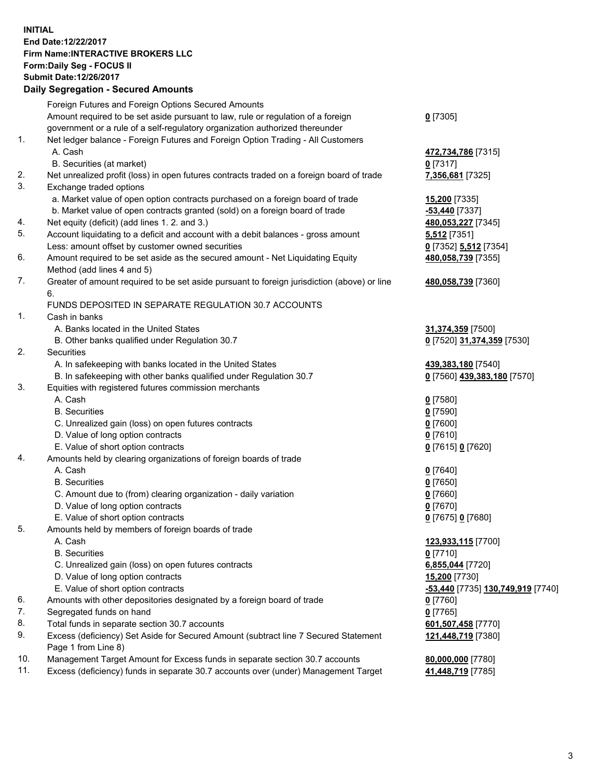## **INITIAL End Date:12/22/2017 Firm Name:INTERACTIVE BROKERS LLC Form:Daily Seg - FOCUS II Submit Date:12/26/2017 Daily Segregation - Secured Amounts**

|     | Daily Jegiegation - Jeculed Aniounts                                                                       |                                                |
|-----|------------------------------------------------------------------------------------------------------------|------------------------------------------------|
|     | Foreign Futures and Foreign Options Secured Amounts                                                        |                                                |
|     | Amount required to be set aside pursuant to law, rule or regulation of a foreign                           | $0$ [7305]                                     |
|     | government or a rule of a self-regulatory organization authorized thereunder                               |                                                |
| 1.  | Net ledger balance - Foreign Futures and Foreign Option Trading - All Customers                            |                                                |
|     | A. Cash                                                                                                    | 472,734,786 [7315]                             |
|     | B. Securities (at market)                                                                                  | $0$ [7317]                                     |
| 2.  | Net unrealized profit (loss) in open futures contracts traded on a foreign board of trade                  | 7,356,681 [7325]                               |
| 3.  | Exchange traded options                                                                                    |                                                |
|     | a. Market value of open option contracts purchased on a foreign board of trade                             | 15,200 [7335]                                  |
|     | b. Market value of open contracts granted (sold) on a foreign board of trade                               | -53,440 [7337]                                 |
| 4.  | Net equity (deficit) (add lines 1.2. and 3.)                                                               | 480,053,227 [7345]                             |
| 5.  | Account liquidating to a deficit and account with a debit balances - gross amount                          | 5,512 [7351]                                   |
|     | Less: amount offset by customer owned securities                                                           | 0 [7352] 5,512 [7354]                          |
| 6.  | Amount required to be set aside as the secured amount - Net Liquidating Equity                             | 480,058,739 [7355]                             |
|     | Method (add lines 4 and 5)                                                                                 |                                                |
| 7.  | Greater of amount required to be set aside pursuant to foreign jurisdiction (above) or line                | 480,058,739 [7360]                             |
|     | 6.                                                                                                         |                                                |
|     | FUNDS DEPOSITED IN SEPARATE REGULATION 30.7 ACCOUNTS                                                       |                                                |
| 1.  | Cash in banks                                                                                              |                                                |
|     | A. Banks located in the United States                                                                      | 31,374,359 [7500]                              |
|     | B. Other banks qualified under Regulation 30.7                                                             | 0 [7520] 31,374,359 [7530]                     |
| 2.  | Securities                                                                                                 |                                                |
|     | A. In safekeeping with banks located in the United States                                                  | 439,383,180 [7540]                             |
|     | B. In safekeeping with other banks qualified under Regulation 30.7                                         | 0 [7560] 439,383,180 [7570]                    |
| 3.  | Equities with registered futures commission merchants                                                      |                                                |
|     | A. Cash                                                                                                    | $0$ [7580]                                     |
|     | <b>B.</b> Securities                                                                                       | $0$ [7590]                                     |
|     | C. Unrealized gain (loss) on open futures contracts                                                        | $0$ [7600]                                     |
|     | D. Value of long option contracts                                                                          | $0$ [7610]                                     |
|     | E. Value of short option contracts                                                                         | 0 [7615] 0 [7620]                              |
| 4.  | Amounts held by clearing organizations of foreign boards of trade                                          |                                                |
|     | A. Cash                                                                                                    | $0$ [7640]                                     |
|     | <b>B.</b> Securities                                                                                       | $0$ [7650]                                     |
|     | C. Amount due to (from) clearing organization - daily variation                                            | $0$ [7660]                                     |
|     | D. Value of long option contracts                                                                          | $0$ [7670]                                     |
|     | E. Value of short option contracts                                                                         | 0 [7675] 0 [7680]                              |
| 5.  | Amounts held by members of foreign boards of trade                                                         |                                                |
|     | A. Cash                                                                                                    | 123,933,115 [7700]                             |
|     | <b>B.</b> Securities                                                                                       | $0$ [7710]                                     |
|     | C. Unrealized gain (loss) on open futures contracts                                                        | 6,855,044 [7720]                               |
|     | D. Value of long option contracts                                                                          | <b>15,200</b> [7730]                           |
|     | E. Value of short option contracts                                                                         | <mark>-53,440</mark> [7735] 130,749,919 [7740] |
| 6.  | Amounts with other depositories designated by a foreign board of trade                                     | 0 [7760]                                       |
| 7.  | Segregated funds on hand                                                                                   | $0$ [7765]                                     |
| 8.  | Total funds in separate section 30.7 accounts                                                              | 601,507,458 [7770]                             |
| 9.  | Excess (deficiency) Set Aside for Secured Amount (subtract line 7 Secured Statement<br>Page 1 from Line 8) | 121,448,719 [7380]                             |
| 10. | Management Target Amount for Excess funds in separate section 30.7 accounts                                | 80,000,000 [7780]                              |
| 11. | Excess (deficiency) funds in separate 30.7 accounts over (under) Management Target                         | 41,448,719 [7785]                              |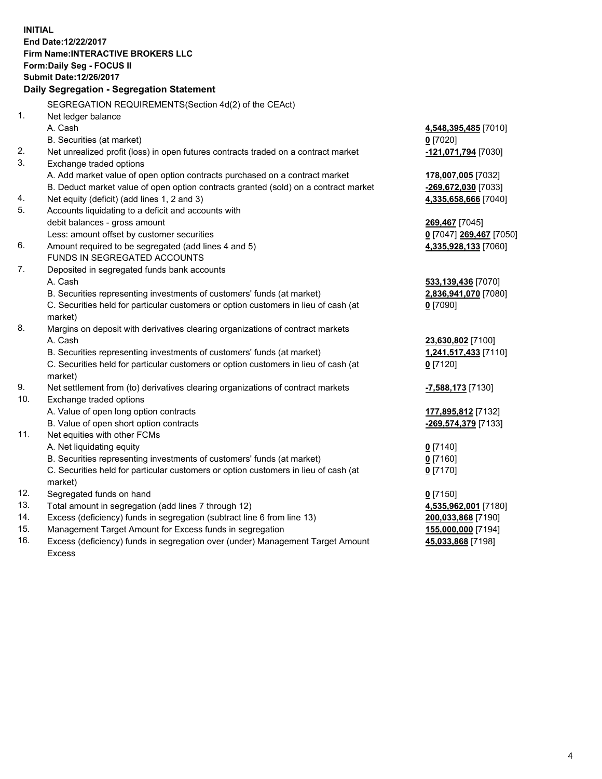**INITIAL End Date:12/22/2017 Firm Name:INTERACTIVE BROKERS LLC Form:Daily Seg - FOCUS II Submit Date:12/26/2017 Daily Segregation - Segregation Statement** SEGREGATION REQUIREMENTS(Section 4d(2) of the CEAct) 1. Net ledger balance A. Cash **4,548,395,485** [7010] B. Securities (at market) **0** [7020] 2. Net unrealized profit (loss) in open futures contracts traded on a contract market **-121,071,794** [7030] 3. Exchange traded options A. Add market value of open option contracts purchased on a contract market **178,007,005** [7032] B. Deduct market value of open option contracts granted (sold) on a contract market **-269,672,030** [7033] 4. Net equity (deficit) (add lines 1, 2 and 3) **4,335,658,666** [7040] 5. Accounts liquidating to a deficit and accounts with debit balances - gross amount **269,467** [7045] Less: amount offset by customer securities **0** [7047] **269,467** [7050] 6. Amount required to be segregated (add lines 4 and 5) **4,335,928,133** [7060] FUNDS IN SEGREGATED ACCOUNTS 7. Deposited in segregated funds bank accounts A. Cash **533,139,436** [7070] B. Securities representing investments of customers' funds (at market) **2,836,941,070** [7080] C. Securities held for particular customers or option customers in lieu of cash (at market) **0** [7090] 8. Margins on deposit with derivatives clearing organizations of contract markets A. Cash **23,630,802** [7100] B. Securities representing investments of customers' funds (at market) **1,241,517,433** [7110] C. Securities held for particular customers or option customers in lieu of cash (at market) **0** [7120] 9. Net settlement from (to) derivatives clearing organizations of contract markets **-7,588,173** [7130] 10. Exchange traded options A. Value of open long option contracts **177,895,812** [7132] B. Value of open short option contracts **-269,574,379** [7133] 11. Net equities with other FCMs A. Net liquidating equity **0** [7140] B. Securities representing investments of customers' funds (at market) **0** [7160] C. Securities held for particular customers or option customers in lieu of cash (at market) **0** [7170] 12. Segregated funds on hand **0** [7150] 13. Total amount in segregation (add lines 7 through 12) **4,535,962,001** [7180] 14. Excess (deficiency) funds in segregation (subtract line 6 from line 13) **200,033,868** [7190] 15. Management Target Amount for Excess funds in segregation **155,000,000** [7194] **45,033,868** [7198]

16. Excess (deficiency) funds in segregation over (under) Management Target Amount Excess